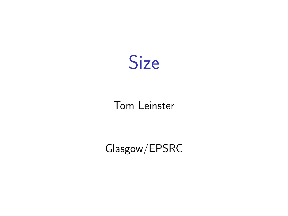

## Tom Leinster

# Glasgow/EPSRC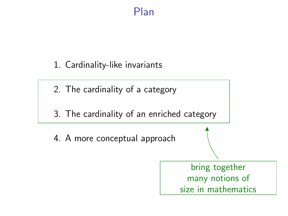## Plan

1. Cardinality-like invariants

2. The cardinality of a category

3. The cardinality of an enriched category

4. A more conceptual approach

bring together many notions of size in mathematics

N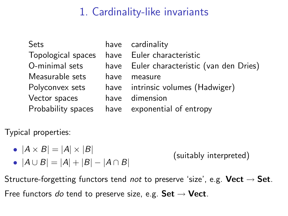# 1. Cardinality-like invariants

| <b>Sets</b>        |      | have cardinality                          |
|--------------------|------|-------------------------------------------|
| Topological spaces |      | have Euler characteristic                 |
| O-minimal sets     |      | have Euler characteristic (van den Dries) |
| Measurable sets    | have | measure                                   |
| Polyconvex sets    |      | have intrinsic volumes (Hadwiger)         |
| Vector spaces      |      | have dimension                            |
| Probability spaces |      | have exponential of entropy               |

Typical properties:

• 
$$
|A \times B| = |A| \times |B|
$$

$$
\bullet \ |A \cup B| = |A| + |B| - |A \cap B|
$$

(suitably interpreted)

Structure-forgetting functors tend not to preserve 'size', e.g. Vect  $\rightarrow$  Set. Free functors do tend to preserve size, e.g. Set  $\rightarrow$  Vect.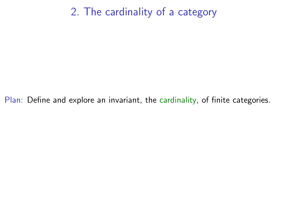# 2. The cardinality of a category

Plan: Define and explore an invariant, the cardinality, of finite categories.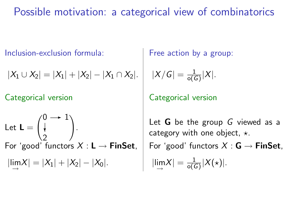Possible motivation: a categorical view of combinatorics

Inclusion-exclusion formula: <br> Free action by a group:

$$
|X_1 \cup X_2| = |X_1| + |X_2| - |X_1 \cap X_2|. \quad |X/G| =
$$

Let 
$$
\mathbf{L} = \begin{pmatrix} 0 & \to & 1 \\ \downarrow & & \\ 2 & & \end{pmatrix}
$$
.  
\nFor 'good' functors  $X : \mathbf{L} \to \mathbf{FinSet}$ ,  
\n $|\lim_{\to} X| = |X_1| + |X_2| - |X_0|$ .  
\n $|\lim_{\to} X| = \frac{1}{\circ(G)}|X(\star)|$ .

$$
|X/G| = \frac{1}{\circ(G)}|X|.
$$

Categorical version Categorical version

Let  $G$  be the group  $G$  viewed as a category with one object,  $\star$ .  $\frac{1}{\circ(G)}|X(\star)|.$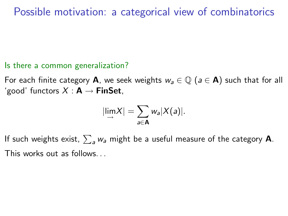## Possible motivation: a categorical view of combinatorics

#### Is there a common generalization?

For each finite category **A**, we seek weights  $w_a \in \mathbb{Q}$  ( $a \in \mathbf{A}$ ) such that for all 'good' functors  $X : A \rightarrow$  FinSet,

$$
|\lim_{\rightarrow} X| = \sum_{a \in \mathbf{A}} w_a |X(a)|.
$$

If such weights exist,  $\sum_{\mathsf a} w_{\mathsf a}$  might be a useful measure of the category  $\mathsf A.$ This works out as follows. . .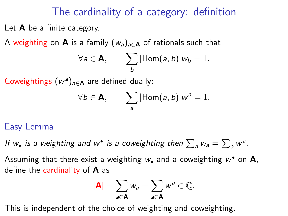## The cardinality of a category: definition

Let A be a finite category.

A weighting on **A** is a family  $(w_a)_{a \in \mathbf{A}}$  of rationals such that

$$
\forall a \in \mathbf{A}, \qquad \sum_{b} |\mathsf{Hom}(a,b)| w_b = 1.
$$

Coweightings  $(w^a)_{a \in \mathbf{A}}$  are defined dually:

$$
\forall b \in \mathbf{A}, \qquad \sum_{a} |\mathsf{Hom}(a,b)|w^{a}=1.
$$

#### Easy Lemma

If  $w_{\bullet}$  is a weighting and  $w^{\bullet}$  is a coweighting then  $\sum_a w_a = \sum_a w^a$ .

Assuming that there exist a weighting  $w_\bullet$  and a coweighting  $w^\bullet$  on  $\mathsf A,$ define the cardinality of  $\bf{A}$  as

$$
|\mathbf{A}|=\sum_{a\in\mathbf{A}}w_a=\sum_{a\in\mathbf{A}}w^a\in\mathbb{Q}.
$$

This is independent of the choice of weighting and coweighting.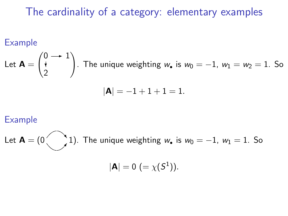# The cardinality of a category: elementary examples

#### Example

Let 
$$
\mathbf{A} = \begin{pmatrix} 0 & \rightarrow & 1 \\ \mathbf{t} & & \\ 2 & & \end{pmatrix}
$$
. The unique weighting  $w_{\bullet}$  is  $w_0 = -1$ ,  $w_1 = w_2 = 1$ . So

$$
|A| = -1 + 1 + 1 = 1.
$$

#### Example

Let 
$$
\mathbf{A} = (0 \quad 1)
$$
. The unique weighting  $w_{\bullet}$  is  $w_0 = -1$ ,  $w_1 = 1$ . So  

$$
|\mathbf{A}| = 0 \ (= \chi(S^1)).
$$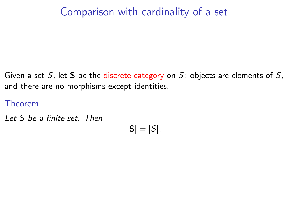# Comparison with cardinality of a set

Given a set S, let S be the discrete category on S: objects are elements of S, and there are no morphisms except identities.

Theorem

Let S be a finite set. Then

$$
|\mathbf{S}|=|S|.
$$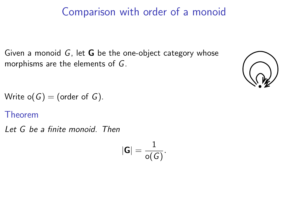## Comparison with order of a monoid

Given a monoid  $G$ , let  $G$  be the one-object category whose morphisms are the elements of G.



Write  $o(G) = (order of G)$ .

Theorem

Let G be a finite monoid. Then

$$
|\textbf{G}|=\frac{1}{\mathsf{o}(G)}.
$$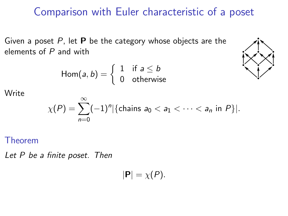## Comparison with Euler characteristic of a poset

Given a poset  $P$ , let  $P$  be the category whose objects are the elements of  $P$  and with

$$
Hom(a, b) = \begin{cases} 1 & \text{if } a \leq b \\ 0 & \text{otherwise} \end{cases}
$$



**Write** 

$$
\chi(P) = \sum_{n=0}^{\infty} (-1)^n |\{\text{chains } a_0 < a_1 < \cdots < a_n \text{ in } P\}|.
$$

Theorem

Let P be a finite poset. Then

 $|{\bf P}| = \chi(P)$ .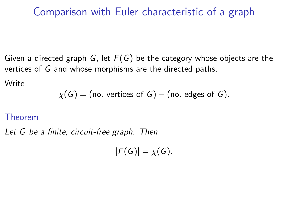## Comparison with Euler characteristic of a graph

Given a directed graph G, let  $F(G)$  be the category whose objects are the vertices of G and whose morphisms are the directed paths.

**Write** 

$$
\chi(G) = \text{(no. vertices of } G\text{)} - \text{(no. edges of } G\text{)}.
$$

#### Theorem

Let G be a finite, circuit-free graph. Then

 $|F(G)| = \chi(G).$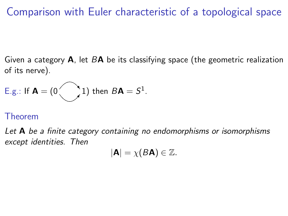## Comparison with Euler characteristic of a topological space

Given a category  $A$ , let  $B\mathbf{A}$  be its classifying space (the geometric realization of its nerve).

E.g.: If 
$$
\mathbf{A} = (0 \bigcup 1)
$$
 then  $B\mathbf{A} = S^1$ .

#### Theorem

Let  $\bf{A}$  be a finite category containing no endomorphisms or isomorphisms except identities. Then

$$
|\mathbf{A}| = \chi(B\mathbf{A}) \in \mathbb{Z}.
$$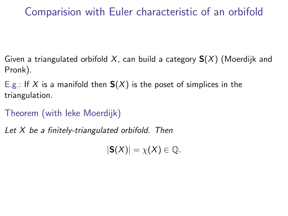# Comparision with Euler characteristic of an orbifold

Given a triangulated orbifold X, can build a category  $S(X)$  (Moerdijk and Pronk).

E.g.: If X is a manifold then  $S(X)$  is the poset of simplices in the triangulation.

Theorem (with Ieke Moerdijk)

Let X be a finitely-triangulated orbifold. Then

 $|\mathbf{S}(X)| = \chi(X) \in \mathbb{Q}$ .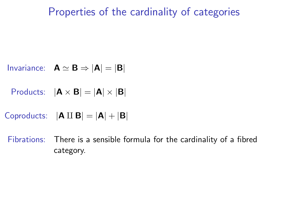## Properties of the cardinality of categories

- Invariance:  $\mathbf{A} \simeq \mathbf{B} \Rightarrow |\mathbf{A}| = |\mathbf{B}|$
- Products:  $|\mathbf{A} \times \mathbf{B}| = |\mathbf{A}| \times |\mathbf{B}|$
- Coproducts:  $|\mathbf{A} \amalg \mathbf{B}| = |\mathbf{A}| + |\mathbf{B}|$

Fibrations: There is a sensible formula for the cardinality of a fibred category.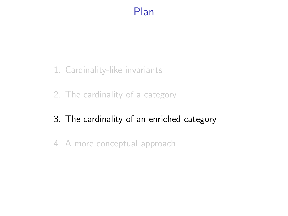## Plan

- 1. Cardinality-like invariants
- 2. The cardinality of a category
- 3. The cardinality of an enriched category
- 4. A more conceptual approach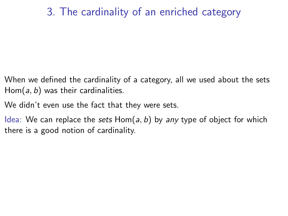## 3. The cardinality of an enriched category

- When we defined the cardinality of a category, all we used about the sets  $Hom(a, b)$  was their cardinalities.
- We didn't even use the fact that they were sets.
- Idea: We can replace the sets  $Hom(a, b)$  by any type of object for which there is a good notion of cardinality.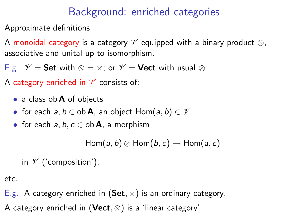# Background: enriched categories

Approximate definitions:

A monoidal category is a category  $\mathscr V$  equipped with a binary product  $\otimes$ , associative and unital up to isomorphism.

E.g.:  $\mathscr{V} =$  Set with  $\otimes = \times$ ; or  $\mathscr{V} =$  Vect with usual  $\otimes$ .

A category enriched in  $\mathscr V$  consists of:

- a class ob **A** of objects
- for each  $a, b \in$  ob **A**, an object  $Hom(a, b) \in \mathcal{V}$
- for each  $a, b, c \in$  ob **A**, a morphism

 $Hom(a, b) \otimes Hom(b, c) \rightarrow Hom(a, c)$ 

in  $\mathscr V$  ('composition'),

etc.

E.g.: A category enriched in  $(Set, x)$  is an ordinary category. A category enriched in (Vect,  $\otimes$ ) is a 'linear category'.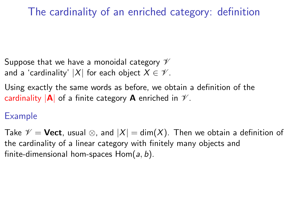# The cardinality of an enriched category: definition

Suppose that we have a monoidal category  $\mathscr V$ and a 'cardinality' |X| for each object  $X \in \mathcal{V}$ .

Using exactly the same words as before, we obtain a definition of the cardinality  $|A|$  of a finite category **A** enriched in  $\mathcal{V}$ .

### Example

Take  $\mathscr{V} = \text{Vect}$ , usual  $\otimes$ , and  $|X| = \dim(X)$ . Then we obtain a definition of the cardinality of a linear category with finitely many objects and finite-dimensional hom-spaces  $Hom(a, b)$ .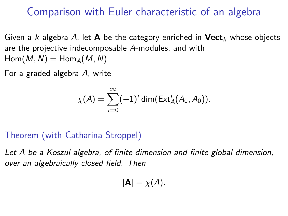## Comparison with Euler characteristic of an algebra

Given a k-algebra A, let **A** be the category enriched in **Vect**<sub>k</sub> whose objects are the projective indecomposable A-modules, and with  $Hom(M, N) = Hom_A(M, N)$ .

For a graded algebra A, write

$$
\chi(A)=\sum_{i=0}^\infty (-1)^i\dim(\text{Ext}_A^i(A_0,A_0)).
$$

### Theorem (with Catharina Stroppel)

Let A be a Koszul algebra, of finite dimension and finite global dimension, over an algebraically closed field. Then

$$
|\mathbf{A}|=\chi(A).
$$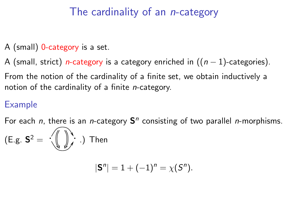# The cardinality of an *n*-category

- A (small) 0-category is a set.
- A (small, strict) *n*-category is a category enriched in  $((n 1)$ -categories).
- From the notion of the cardinality of a finite set, we obtain inductively a notion of the cardinality of a finite n-category.

## Example

For each  $n$ , there is an  $n$ -category  $S<sup>n</sup>$  consisting of two parallel  $n$ -morphisms.

(E.g. 
$$
S^2 = \sqrt{\frac{1}{2}} \cdot \frac{1}{2}
$$
) Then

$$
|S^n| = 1 + (-1)^n = \chi(S^n).
$$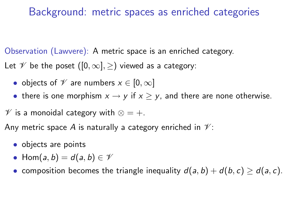## Background: metric spaces as enriched categories

Observation (Lawvere): A metric space is an enriched category.

Let  $\mathscr V$  be the poset  $([0,\infty],\geq)$  viewed as a category:

- objects of  $\mathscr V$  are numbers  $x \in [0,\infty]$
- there is one morphism  $x \to y$  if  $x \ge y$ , and there are none otherwise.

 $\mathscr V$  is a monoidal category with  $\otimes = +$ .

Any metric space A is naturally a category enriched in  $\mathcal{V}$ :

- objects are points
- Hom $(a, b) = d(a, b) \in \mathcal{V}$
- composition becomes the triangle inequality  $d(a, b) + d(b, c) \ge d(a, c)$ .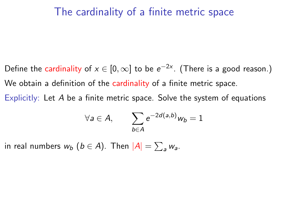### The cardinality of a finite metric space

- Define the cardinality of  $x\in[0,\infty]$  to be  $e^{-2x}$ . (There is a good reason.) We obtain a definition of the cardinality of a finite metric space.
- Explicitly: Let A be a finite metric space. Solve the system of equations

$$
\forall a \in A, \qquad \sum_{b \in A} e^{-2d(a,b)} w_b = 1
$$

in real numbers  $w_b$   $(b \in A)$ . Then  $|A| = \sum_a w_a$ .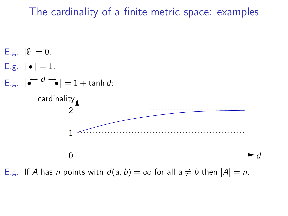### The cardinality of a finite metric space: examples



E.g.: If A has n points with  $d(a, b) = \infty$  for all  $a \neq b$  then  $|A| = n$ .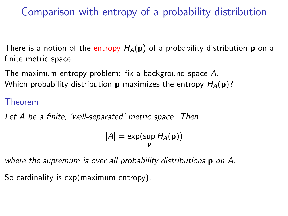Comparison with entropy of a probability distribution

There is a notion of the entropy  $H_A(p)$  of a probability distribution p on a finite metric space.

The maximum entropy problem: fix a background space A. Which probability distribution **p** maximizes the entropy  $H_A(\mathbf{p})$ ?

#### Theorem

Let A be a finite, 'well-separated' metric space. Then

$$
|A|=\exp(\sup_{\mathbf{p}}H_A(\mathbf{p}))
$$

where the supremum is over all probability distributions p on A.

So cardinality is exp(maximum entropy).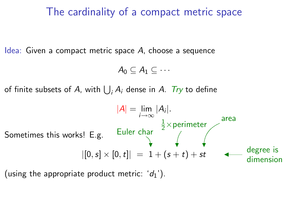## The cardinality of a compact metric space

Idea: Given a compact metric space  $A$ , choose a sequence

$$
A_0\subseteq A_1\subseteq\cdots
$$

of finite subsets of A, with  $\bigcup_i A_i$  dense in A.  $\mathit{Try}$  to define



(using the appropriate product metric:  $'d_1'$ ).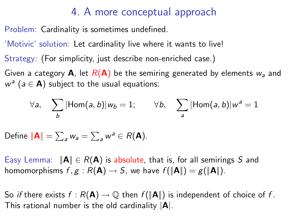## 4. A more conceptual approach

Problem: Cardinality is sometimes undefined.

'Motivic' solution: Let cardinality live where it wants to live!

Strategy: (For simplicity, just describe non-enriched case.)

Given a category **A**, let  $R(A)$  be the semiring generated by elements  $w_a$  and  $w^a$  ( $a \in A$ ) subject to the usual equations:

$$
\forall a, \quad \sum_{b} |\text{Hom}(a, b)| w_b = 1; \qquad \forall b, \quad \sum_{a} |\text{Hom}(a, b)| w^a = 1
$$

Define  $\|\mathbf{A}\| = \sum_a w_a = \sum_a w^a \in R(\mathbf{A})$ .

Easy Lemma:  $\|\mathbf{A}\| \in R(\mathbf{A})$  is absolute, that is, for all semirings S and homomorphisms  $f, g : R(\mathbf{A}) \to S$ , we have  $f(\|\mathbf{A}\|) = g(\|\mathbf{A}\|)$ .

So if there exists  $f : R(\mathbf{A}) \to \mathbb{Q}$  then  $f(\|\mathbf{A}\|)$  is independent of choice of f. This rational number is the old cardinality  $|A|$ .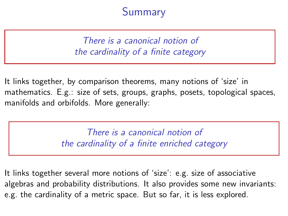# Summary

There is a canonical notion of the cardinality of a finite category

It links together, by comparison theorems, many notions of 'size' in mathematics. E.g.: size of sets, groups, graphs, posets, topological spaces, manifolds and orbifolds. More generally:

> There is a canonical notion of the cardinality of a finite enriched category

It links together several more notions of 'size': e.g. size of associative algebras and probability distributions. It also provides some new invariants: e.g. the cardinality of a metric space. But so far, it is less explored.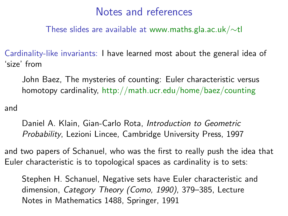These slides are available at [www.maths.gla.ac.uk/](http://www.maths.gla.ac.uk/~tl/ndmtf)∼tl

Cardinality-like invariants: I have learned most about the general idea of 'size' from

John Baez, The mysteries of counting: Euler characteristic versus homotopy cardinality, <http://math.ucr.edu/home/baez/counting>

and

Daniel A. Klain, Gian-Carlo Rota, Introduction to Geometric Probability, Lezioni Lincee, Cambridge University Press, 1997

and two papers of Schanuel, who was the first to really push the idea that Euler characteristic is to topological spaces as cardinality is to sets:

Stephen H. Schanuel, Negative sets have Euler characteristic and dimension, Category Theory (Como, 1990), 379–385, Lecture Notes in Mathematics 1488, Springer, 1991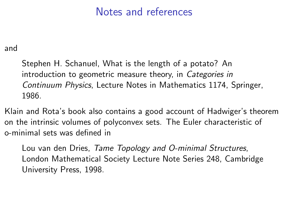and

Stephen H. Schanuel, What is the length of a potato? An introduction to geometric measure theory, in Categories in Continuum Physics, Lecture Notes in Mathematics 1174, Springer, 1986.

Klain and Rota's book also contains a good account of Hadwiger's theorem on the intrinsic volumes of polyconvex sets. The Euler characteristic of o-minimal sets was defined in

Lou van den Dries, Tame Topology and O-minimal Structures, London Mathematical Society Lecture Note Series 248, Cambridge University Press, 1998.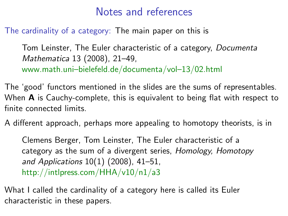The cardinality of a category: The main paper on this is

Tom Leinster, The Euler characteristic of a category, Documenta Mathematica 13 (2008), 21–49, [www.math.uni–bielefeld.de/documenta/vol–13/02.html](http://www.math.uni-bielefeld.de/documenta/vol-13/02.html)

The 'good' functors mentioned in the slides are the sums of representables. When  $\bf{A}$  is Cauchy-complete, this is equivalent to being flat with respect to finite connected limits.

A different approach, perhaps more appealing to homotopy theorists, is in

Clemens Berger, Tom Leinster, The Euler characteristic of a category as the sum of a divergent series, Homology, Homotopy and Applications 10(1) (2008), 41–51, [http://intlpress.com/HHA/v10/n1/a3](http://intlpress.com/HHA/v10/n1/a3/)

What I called the cardinality of a category here is called its Euler characteristic in these papers.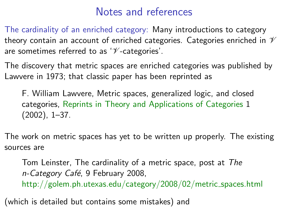The cardinality of an enriched category: Many introductions to category theory contain an account of enriched categories. Categories enriched in  $\mathscr V$ are sometimes referred to as  $\mathscr V$ -categories'.

The discovery that metric spaces are enriched categories was published by Lawvere in 1973; that classic paper has been reprinted as

F. William Lawvere, Metric spaces, generalized logic, and closed categories, [Reprints in Theory and Applications of Categories](http://www.tac.mta.ca/tac/reprints) 1 (2002), 1–37.

The work on metric spaces has yet to be written up properly. The existing sources are

Tom Leinster, The cardinality of a metric space, post at The n-Category Café, 9 February 2008, [http://golem.ph.utexas.edu/category/2008/02/metric](http://golem.ph.utexas.edu/category/2008/02/metric_spaces.html) spaces.html

(which is detailed but contains some mistakes) and